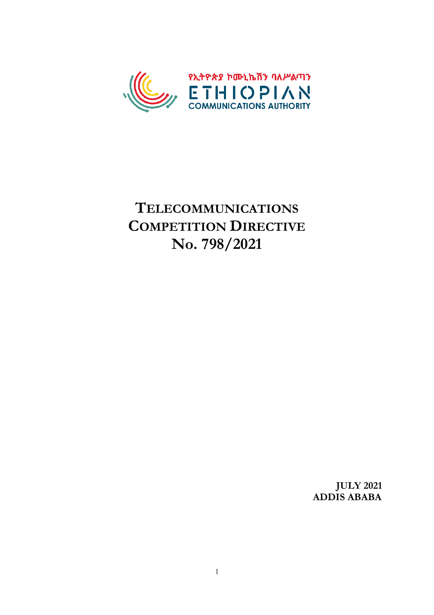

# **TELECOMMUNICATIONS COMPETITION DIRECTIVE No. 798/2021**

**JULY 2021 ADDIS ABABA**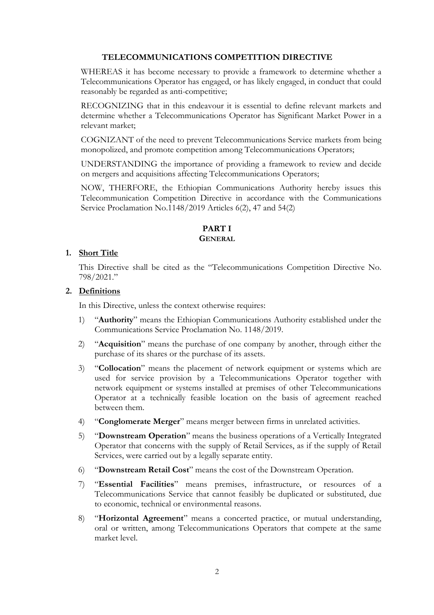## **TELECOMMUNICATIONS COMPETITION DIRECTIVE**

WHEREAS it has become necessary to provide a framework to determine whether a Telecommunications Operator has engaged, or has likely engaged, in conduct that could reasonably be regarded as anti-competitive;

RECOGNIZING that in this endeavour it is essential to define relevant markets and determine whether a Telecommunications Operator has Significant Market Power in a relevant market;

COGNIZANT of the need to prevent Telecommunications Service markets from being monopolized, and promote competition among Telecommunications Operators;

UNDERSTANDING the importance of providing a framework to review and decide on mergers and acquisitions affecting Telecommunications Operators;

NOW, THERFORE, the Ethiopian Communications Authority hereby issues this Telecommunication Competition Directive in accordance with the Communications Service Proclamation No.1148/2019 Articles 6(2), 47 and 54(2)

# **PART I GENERAL**

## **1. Short Title**

This Directive shall be cited as the "Telecommunications Competition Directive No. 798/2021."

#### **2. Definitions**

In this Directive, unless the context otherwise requires:

- 1) "**Authority**" means the Ethiopian Communications Authority established under the Communications Service Proclamation No. 1148/2019.
- 2) "**Acquisition**" means the purchase of one company by another, through either the purchase of its shares or the purchase of its assets.
- 3) "**Collocation**" means the placement of network equipment or systems which are used for service provision by a Telecommunications Operator together with network equipment or systems installed at premises of other Telecommunications Operator at a technically feasible location on the basis of agreement reached between them.
- 4) "**Conglomerate Merger**" means merger between firms in unrelated activities.
- 5) "**Downstream Operation**" means the business operations of a Vertically Integrated Operator that concerns with the supply of Retail Services, as if the supply of Retail Services, were carried out by a legally separate entity.
- 6) "**Downstream Retail Cost**" means the cost of the Downstream Operation.
- 7) "**Essential Facilities**" means premises, infrastructure, or resources of a Telecommunications Service that cannot feasibly be duplicated or substituted, due to economic, technical or environmental reasons.
- 8) "**Horizontal Agreement**" means a concerted practice, or mutual understanding, oral or written, among Telecommunications Operators that compete at the same market level.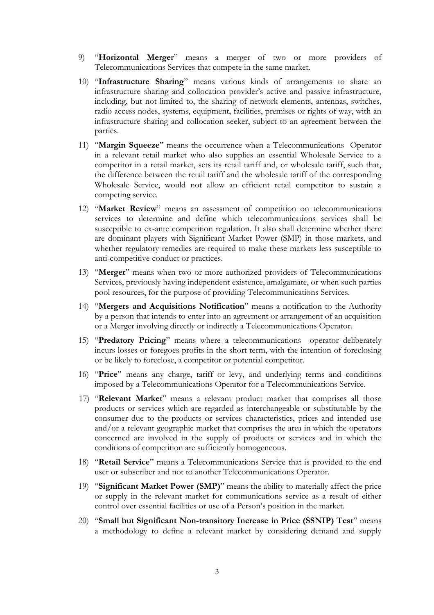- 9) "**Horizontal Merger**" means a merger of two or more providers of Telecommunications Services that compete in the same market.
- 10) "**Infrastructure Sharing**" means various kinds of arrangements to share an infrastructure sharing and collocation provider's active and passive infrastructure, including, but not limited to, the sharing of network elements, antennas, switches, radio access nodes, systems, equipment, facilities, premises or rights of way, with an infrastructure sharing and collocation seeker, subject to an agreement between the parties.
- 11) "**Margin Squeeze**" means the occurrence when a Telecommunications Operator in a relevant retail market who also supplies an essential Wholesale Service to a competitor in a retail market, sets its retail tariff and, or wholesale tariff, such that, the difference between the retail tariff and the wholesale tariff of the corresponding Wholesale Service, would not allow an efficient retail competitor to sustain a competing service.
- 12) "**Market Review**" means an assessment of competition on telecommunications services to determine and define which telecommunications services shall be susceptible to ex-ante competition regulation. It also shall determine whether there are dominant players with Significant Market Power (SMP) in those markets, and whether regulatory remedies are required to make these markets less susceptible to anti-competitive conduct or practices.
- 13) "**Merger**" means when two or more authorized providers of Telecommunications Services, previously having independent existence, amalgamate, or when such parties pool resources, for the purpose of providing Telecommunications Services.
- 14) "**Mergers and Acquisitions Notification**" means a notification to the Authority by a person that intends to enter into an agreement or arrangement of an acquisition or a Merger involving directly or indirectly a Telecommunications Operator.
- 15) "**Predatory Pricing**" means where a telecommunications operator deliberately incurs losses or foregoes profits in the short term, with the intention of foreclosing or be likely to foreclose, a competitor or potential competitor.
- 16) "**Price**" means any charge, tariff or levy, and underlying terms and conditions imposed by a Telecommunications Operator for a Telecommunications Service.
- 17) "**Relevant Market**" means a relevant product market that comprises all those products or services which are regarded as interchangeable or substitutable by the consumer due to the products or services characteristics, prices and intended use and/or a relevant geographic market that comprises the area in which the operators concerned are involved in the supply of products or services and in which the conditions of competition are sufficiently homogeneous.
- 18) "**Retail Service**" means a Telecommunications Service that is provided to the end user or subscriber and not to another Telecommunications Operator.
- 19) "**Significant Market Power (SMP)**" means the ability to materially affect the price or supply in the relevant market for communications service as a result of either control over essential facilities or use of a Person's position in the market.
- 20) "**Small but Significant Non**‐**transitory Increase in Price (SSNIP) Test**" means a methodology to define a relevant market by considering demand and supply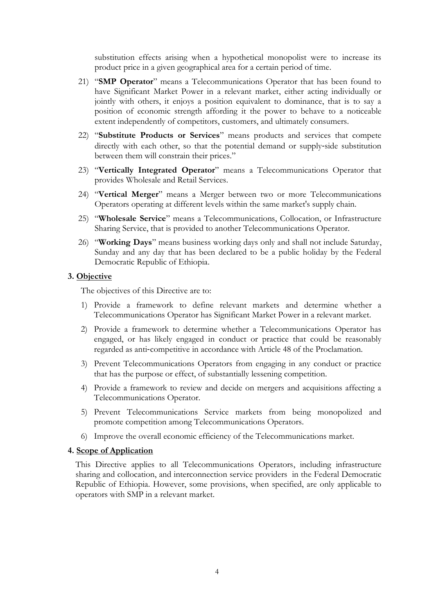substitution effects arising when a hypothetical monopolist were to increase its product price in a given geographical area for a certain period of time.

- 21) "**SMP Operator**" means a Telecommunications Operator that has been found to have Significant Market Power in a relevant market, either acting individually or jointly with others, it enjoys a position equivalent to dominance, that is to say a position of economic strength affording it the power to behave to a noticeable extent independently of competitors, customers, and ultimately consumers.
- 22) "**Substitute Products or Services**" means products and services that compete directly with each other, so that the potential demand or supply‐side substitution between them will constrain their prices."
- 23) "**Vertically Integrated Operator**" means a Telecommunications Operator that provides Wholesale and Retail Services.
- 24) "**Vertical Merger**" means a Merger between two or more Telecommunications Operators operating at different levels within the same market's supply chain.
- 25) "**Wholesale Service**" means a Telecommunications, Collocation, or Infrastructure Sharing Service, that is provided to another Telecommunications Operator.
- 26) "**Working Days**" means business working days only and shall not include Saturday, Sunday and any day that has been declared to be a public holiday by the Federal Democratic Republic of Ethiopia.

#### **3. Objective**

The objectives of this Directive are to:

- 1) Provide a framework to define relevant markets and determine whether a Telecommunications Operator has Significant Market Power in a relevant market.
- 2) Provide a framework to determine whether a Telecommunications Operator has engaged, or has likely engaged in conduct or practice that could be reasonably regarded as anti-competitive in accordance with Article 48 of the Proclamation.
- 3) Prevent Telecommunications Operators from engaging in any conduct or practice that has the purpose or effect, of substantially lessening competition.
- 4) Provide a framework to review and decide on mergers and acquisitions affecting a Telecommunications Operator.
- 5) Prevent Telecommunications Service markets from being monopolized and promote competition among Telecommunications Operators.
- 6) Improve the overall economic efficiency of the Telecommunications market.

#### **4. Scope of Application**

This Directive applies to all Telecommunications Operators, including infrastructure sharing and collocation, and interconnection service providers in the Federal Democratic Republic of Ethiopia. However, some provisions, when specified, are only applicable to operators with SMP in a relevant market.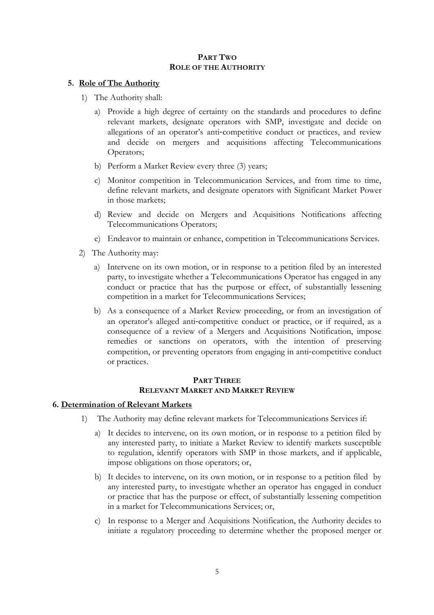## **PART TWO ROLE OF THE AUTHORITY**

## **5. Role of The Authority**

- 1) The Authority shall:
	- a) Provide a high degree of certainty on the standards and procedures to define relevant markets, designate operators with SMP, investigate and decide on allegations of an operator's anti‐competitive conduct or practices, and review and decide on mergers and acquisitions affecting Telecommunications Operators;
	- b) Perform a Market Review every three (3) years;
	- c) Monitor competition in Telecommunication Services, and from time to time, define relevant markets, and designate operators with Significant Market Power in those markets;
	- d) Review and decide on Mergers and Acquisitions Notifications affecting Telecommunications Operators;
	- e) Endeavor to maintain or enhance, competition in Telecommunications Services.
- 2) The Authority may:
	- a) Intervene on its own motion, or in response to a petition filed by an interested party, to investigate whether a Telecommunications Operator has engaged in any conduct or practice that has the purpose or effect, of substantially lessening competition in a market for Telecommunications Services;
	- b) As a consequence of a Market Review proceeding, or from an investigation of an operator's alleged anti-competitive conduct or practice, or if required, as a consequence of a review of a Mergers and Acquisitions Notification, impose remedies or sanctions on operators, with the intention of preserving competition, or preventing operators from engaging in anti-competitive conduct or practices.

## **PART THREE RELEVANT MARKET AND MARKET REVIEW**

#### **6. Determination of Relevant Markets**

- 1) The Authority may define relevant markets for Telecommunications Services if:
	- a) It decides to intervene, on its own motion, or in response to a petition filed by any interested party, to initiate a Market Review to identify markets susceptible to regulation, identify operators with SMP in those markets, and if applicable, impose obligations on those operators; or,
	- b) It decides to intervene, on its own motion, or in response to a petition filed by any interested party, to investigate whether an operator has engaged in conduct or practice that has the purpose or effect, of substantially lessening competition in a market for Telecommunications Services; or,
	- c) In response to a Merger and Acquisitions Notification, the Authority decides to initiate a regulatory proceeding to determine whether the proposed merger or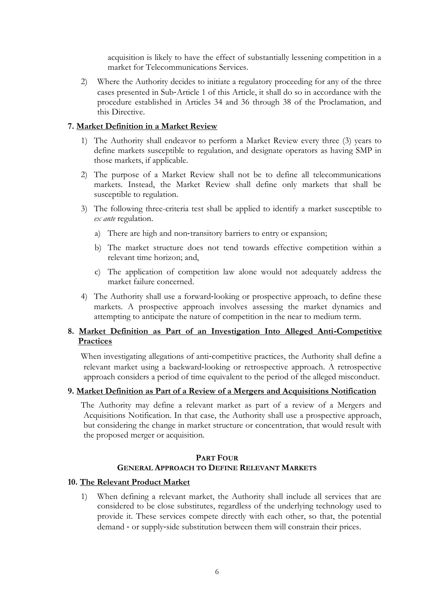acquisition is likely to have the effect of substantially lessening competition in a market for Telecommunications Services.

2) Where the Authority decides to initiate a regulatory proceeding for any of the three cases presented in Sub‐Article 1 of this Article, it shall do so in accordance with the procedure established in Articles 34 and 36 through 38 of the Proclamation, and this Directive.

## **7. Market Definition in a Market Review**

- 1) The Authority shall endeavor to perform a Market Review every three (3) years to define markets susceptible to regulation, and designate operators as having SMP in those markets, if applicable.
- 2) The purpose of a Market Review shall not be to define all telecommunications markets. Instead, the Market Review shall define only markets that shall be susceptible to regulation.
- 3) The following three-criteria test shall be applied to identify a market susceptible to *ex ante* regulation.
	- a) There are high and non-transitory barriers to entry or expansion;
	- b) The market structure does not tend towards effective competition within a relevant time horizon; and,
	- c) The application of competition law alone would not adequately address the market failure concerned.
- 4) The Authority shall use a forward‐looking or prospective approach, to define these markets. A prospective approach involves assessing the market dynamics and attempting to anticipate the nature of competition in the near to medium term.

# **8. Market Definition as Part of an Investigation Into Alleged Anti**‐**Competitive Practices**

When investigating allegations of anti-competitive practices, the Authority shall define a relevant market using a backward‐looking or retrospective approach. A retrospective approach considers a period of time equivalent to the period of the alleged misconduct.

#### **9. Market Definition as Part of a Review of a Mergers and Acquisitions Notification**

The Authority may define a relevant market as part of a review of a Mergers and Acquisitions Notification. In that case, the Authority shall use a prospective approach, but considering the change in market structure or concentration, that would result with the proposed merger or acquisition.

#### **PART FOUR GENERAL APPROACH TO DEFINE RELEVANT MARKETS**

#### **10. The Relevant Product Market**

1) When defining a relevant market, the Authority shall include all services that are considered to be close substitutes, regardless of the underlying technology used to provide it. These services compete directly with each other, so that, the potential demand - or supply-side substitution between them will constrain their prices.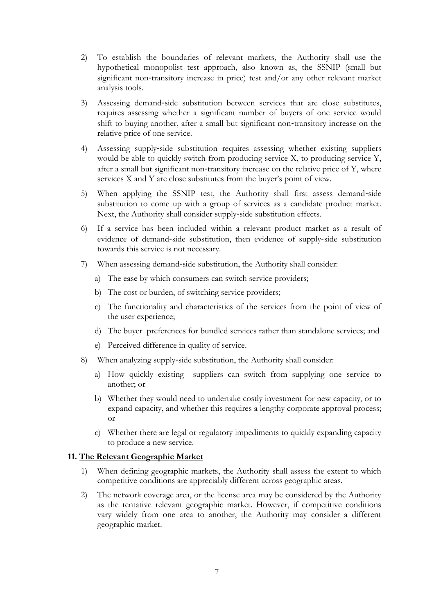- 2) To establish the boundaries of relevant markets, the Authority shall use the hypothetical monopolist test approach, also known as, the SSNIP (small but significant non-transitory increase in price) test and/or any other relevant market analysis tools.
- 3) Assessing demand‐side substitution between services that are close substitutes, requires assessing whether a significant number of buyers of one service would shift to buying another, after a small but significant non‐transitory increase on the relative price of one service.
- 4) Assessing supply‐side substitution requires assessing whether existing suppliers would be able to quickly switch from producing service X, to producing service Y, after a small but significant non‐transitory increase on the relative price of Y, where services X and Y are close substitutes from the buyer's point of view.
- 5) When applying the SSNIP test, the Authority shall first assess demand‐side substitution to come up with a group of services as a candidate product market. Next, the Authority shall consider supply‐side substitution effects.
- 6) If a service has been included within a relevant product market as a result of evidence of demand‐side substitution, then evidence of supply‐side substitution towards this service is not necessary.
- 7) When assessing demand‐side substitution, the Authority shall consider:
	- a) The ease by which consumers can switch service providers;
	- b) The cost or burden, of switching service providers;
	- c) The functionality and characteristics of the services from the point of view of the user experience;
	- d) The buyer preferences for bundled services rather than standalone services; and
	- e) Perceived difference in quality of service.
- 8) When analyzing supply-side substitution, the Authority shall consider:
	- a) How quickly existing suppliers can switch from supplying one service to another; or
	- b) Whether they would need to undertake costly investment for new capacity, or to expand capacity, and whether this requires a lengthy corporate approval process; or
	- c) Whether there are legal or regulatory impediments to quickly expanding capacity to produce a new service.

## **11. The Relevant Geographic Market**

- 1) When defining geographic markets, the Authority shall assess the extent to which competitive conditions are appreciably different across geographic areas.
- 2) The network coverage area, or the license area may be considered by the Authority as the tentative relevant geographic market. However, if competitive conditions vary widely from one area to another, the Authority may consider a different geographic market.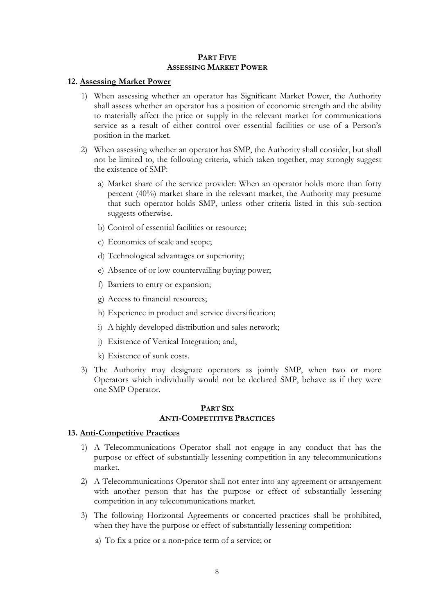#### **PART FIVE ASSESSING MARKET POWER**

#### **12. Assessing Market Power**

- 1) When assessing whether an operator has Significant Market Power, the Authority shall assess whether an operator has a position of economic strength and the ability to materially affect the price or supply in the relevant market for communications service as a result of either control over essential facilities or use of a Person's position in the market.
- 2) When assessing whether an operator has SMP, the Authority shall consider, but shall not be limited to, the following criteria, which taken together, may strongly suggest the existence of SMP:
	- a) Market share of the service provider: When an operator holds more than forty percent (40%) market share in the relevant market, the Authority may presume that such operator holds SMP, unless other criteria listed in this sub-section suggests otherwise.
	- b) Control of essential facilities or resource;
	- c) Economies of scale and scope;
	- d) Technological advantages or superiority;
	- e) Absence of or low countervailing buying power;
	- f) Barriers to entry or expansion;
	- g) Access to financial resources;
	- h) Experience in product and service diversification;
	- i) A highly developed distribution and sales network;
	- j) Existence of Vertical Integration; and,
	- k) Existence of sunk costs.
- 3) The Authority may designate operators as jointly SMP, when two or more Operators which individually would not be declared SMP, behave as if they were one SMP Operator.

#### **PART SIX ANTI-COMPETITIVE PRACTICES**

#### **13. Anti**‐**Competitive Practices**

- 1) A Telecommunications Operator shall not engage in any conduct that has the purpose or effect of substantially lessening competition in any telecommunications market.
- 2) A Telecommunications Operator shall not enter into any agreement or arrangement with another person that has the purpose or effect of substantially lessening competition in any telecommunications market.
- 3) The following Horizontal Agreements or concerted practices shall be prohibited, when they have the purpose or effect of substantially lessening competition:
	- a) To fix a price or a non‐price term of a service; or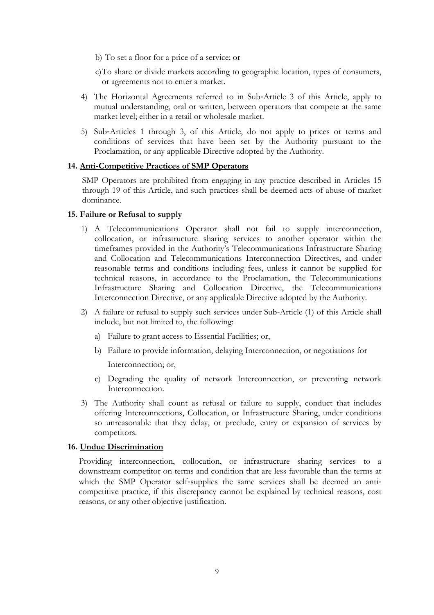- b) To set a floor for a price of a service; or
- c)To share or divide markets according to geographic location, types of consumers, or agreements not to enter a market.
- 4) The Horizontal Agreements referred to in Sub‐Article 3 of this Article, apply to mutual understanding, oral or written, between operators that compete at the same market level; either in a retail or wholesale market.
- 5) Sub‐Articles 1 through 3, of this Article, do not apply to prices or terms and conditions of services that have been set by the Authority pursuant to the Proclamation, or any applicable Directive adopted by the Authority.

# **14. Anti**‐**Competitive Practices of SMP Operators**

SMP Operators are prohibited from engaging in any practice described in Articles 15 through 19 of this Article, and such practices shall be deemed acts of abuse of market dominance.

#### **15. Failure or Refusal to supply**

- 1) A Telecommunications Operator shall not fail to supply interconnection, collocation, or infrastructure sharing services to another operator within the timeframes provided in the Authority's Telecommunications Infrastructure Sharing and Collocation and Telecommunications Interconnection Directives, and under reasonable terms and conditions including fees, unless it cannot be supplied for technical reasons, in accordance to the Proclamation, the Telecommunications Infrastructure Sharing and Collocation Directive, the Telecommunications Interconnection Directive, or any applicable Directive adopted by the Authority.
- 2) A failure or refusal to supply such services under Sub-Article (1) of this Article shall include, but not limited to, the following:
	- a) Failure to grant access to Essential Facilities; or,
	- b) Failure to provide information, delaying Interconnection, or negotiations for

Interconnection; or,

- c) Degrading the quality of network Interconnection, or preventing network Interconnection.
- 3) The Authority shall count as refusal or failure to supply, conduct that includes offering Interconnections, Collocation, or Infrastructure Sharing, under conditions so unreasonable that they delay, or preclude, entry or expansion of services by competitors.

#### **16. Undue Discrimination**

Providing interconnection, collocation, or infrastructure sharing services to a downstream competitor on terms and condition that are less favorable than the terms at which the SMP Operator self-supplies the same services shall be deemed an anticompetitive practice, if this discrepancy cannot be explained by technical reasons, cost reasons, or any other objective justification.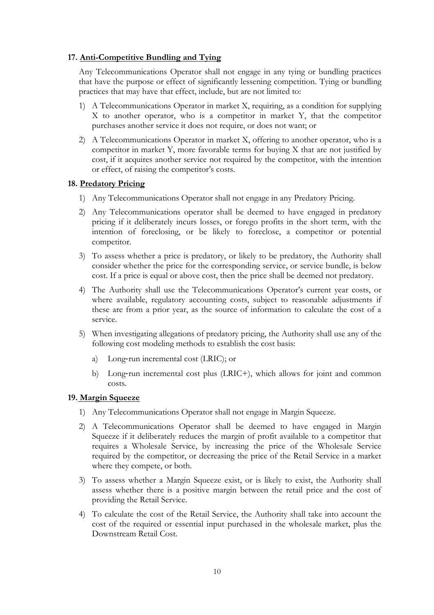## **17. Anti-Competitive Bundling and Tying**

Any Telecommunications Operator shall not engage in any tying or bundling practices that have the purpose or effect of significantly lessening competition. Tying or bundling practices that may have that effect, include, but are not limited to:

- 1) A Telecommunications Operator in market X, requiring, as a condition for supplying X to another operator, who is a competitor in market Y, that the competitor purchases another service it does not require, or does not want; or
- 2) A Telecommunications Operator in market X, offering to another operator, who is a competitor in market Y, more favorable terms for buying X that are not justified by cost, if it acquires another service not required by the competitor, with the intention or effect, of raising the competitor's costs.

## **18. Predatory Pricing**

- 1) Any Telecommunications Operator shall not engage in any Predatory Pricing.
- 2) Any Telecommunications operator shall be deemed to have engaged in predatory pricing if it deliberately incurs losses, or forego profits in the short term, with the intention of foreclosing, or be likely to foreclose, a competitor or potential competitor.
- 3) To assess whether a price is predatory, or likely to be predatory, the Authority shall consider whether the price for the corresponding service, or service bundle, is below cost. If a price is equal or above cost, then the price shall be deemed not predatory.
- 4) The Authority shall use the Telecommunications Operator's current year costs, or where available, regulatory accounting costs, subject to reasonable adjustments if these are from a prior year, as the source of information to calculate the cost of a service.
- 5) When investigating allegations of predatory pricing, the Authority shall use any of the following cost modeling methods to establish the cost basis:
	- a) Long‐run incremental cost (LRIC); or
	- b) Long‐run incremental cost plus (LRIC+), which allows for joint and common costs.

#### **19. Margin Squeeze**

- 1) Any Telecommunications Operator shall not engage in Margin Squeeze.
- 2) A Telecommunications Operator shall be deemed to have engaged in Margin Squeeze if it deliberately reduces the margin of profit available to a competitor that requires a Wholesale Service, by increasing the price of the Wholesale Service required by the competitor, or decreasing the price of the Retail Service in a market where they compete, or both.
- 3) To assess whether a Margin Squeeze exist, or is likely to exist, the Authority shall assess whether there is a positive margin between the retail price and the cost of providing the Retail Service.
- 4) To calculate the cost of the Retail Service, the Authority shall take into account the cost of the required or essential input purchased in the wholesale market, plus the Downstream Retail Cost.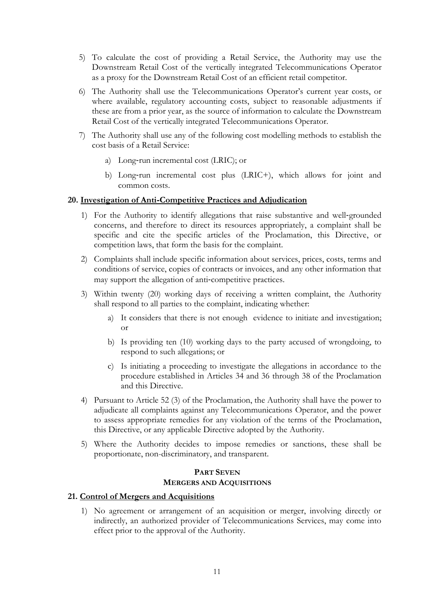- 5) To calculate the cost of providing a Retail Service, the Authority may use the Downstream Retail Cost of the vertically integrated Telecommunications Operator as a proxy for the Downstream Retail Cost of an efficient retail competitor.
- 6) The Authority shall use the Telecommunications Operator's current year costs, or where available, regulatory accounting costs, subject to reasonable adjustments if these are from a prior year, as the source of information to calculate the Downstream Retail Cost of the vertically integrated Telecommunications Operator.
- 7) The Authority shall use any of the following cost modelling methods to establish the cost basis of a Retail Service:
	- a) Long‐run incremental cost (LRIC); or
	- b) Long‐run incremental cost plus (LRIC+), which allows for joint and common costs.

## **20. Investigation of Anti**‐**Competitive Practices and Adjudication**

- 1) For the Authority to identify allegations that raise substantive and well‐grounded concerns, and therefore to direct its resources appropriately, a complaint shall be specific and cite the specific articles of the Proclamation, this Directive, or competition laws, that form the basis for the complaint.
- 2) Complaints shall include specific information about services, prices, costs, terms and conditions of service, copies of contracts or invoices, and any other information that may support the allegation of anti-competitive practices.
- 3) Within twenty (20) working days of receiving a written complaint, the Authority shall respond to all parties to the complaint, indicating whether:
	- a) It considers that there is not enough evidence to initiate and investigation; or
	- b) Is providing ten (10) working days to the party accused of wrongdoing, to respond to such allegations; or
	- c) Is initiating a proceeding to investigate the allegations in accordance to the procedure established in Articles 34 and 36 through 38 of the Proclamation and this Directive.
- 4) Pursuant to Article 52 (3) of the Proclamation, the Authority shall have the power to adjudicate all complaints against any Telecommunications Operator, and the power to assess appropriate remedies for any violation of the terms of the Proclamation, this Directive, or any applicable Directive adopted by the Authority.
- 5) Where the Authority decides to impose remedies or sanctions, these shall be proportionate, non-discriminatory, and transparent.

# **PART SEVEN MERGERS AND ACQUISITIONS**

## **21. Control of Mergers and Acquisitions**

1) No agreement or arrangement of an acquisition or merger, involving directly or indirectly, an authorized provider of Telecommunications Services, may come into effect prior to the approval of the Authority.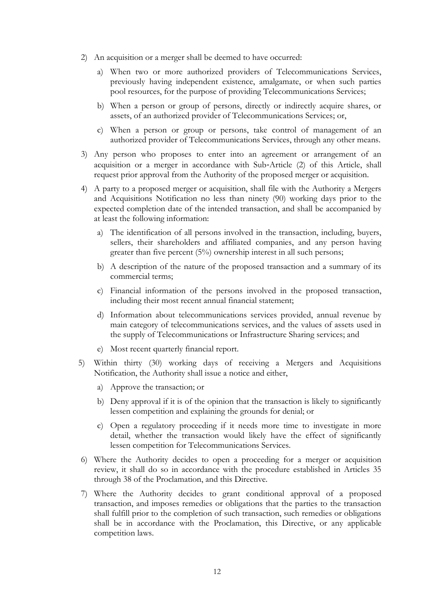- 2) An acquisition or a merger shall be deemed to have occurred:
	- a) When two or more authorized providers of Telecommunications Services, previously having independent existence, amalgamate, or when such parties pool resources, for the purpose of providing Telecommunications Services;
	- b) When a person or group of persons, directly or indirectly acquire shares, or assets, of an authorized provider of Telecommunications Services; or,
	- c) When a person or group or persons, take control of management of an authorized provider of Telecommunications Services, through any other means.
- 3) Any person who proposes to enter into an agreement or arrangement of an acquisition or a merger in accordance with Sub‐Article (2) of this Article, shall request prior approval from the Authority of the proposed merger or acquisition.
- 4) A party to a proposed merger or acquisition, shall file with the Authority a Mergers and Acquisitions Notification no less than ninety (90) working days prior to the expected completion date of the intended transaction, and shall be accompanied by at least the following information:
	- a) The identification of all persons involved in the transaction, including, buyers, sellers, their shareholders and affiliated companies, and any person having greater than five percent (5%) ownership interest in all such persons;
	- b) A description of the nature of the proposed transaction and a summary of its commercial terms;
	- c) Financial information of the persons involved in the proposed transaction, including their most recent annual financial statement;
	- d) Information about telecommunications services provided, annual revenue by main category of telecommunications services, and the values of assets used in the supply of Telecommunications or Infrastructure Sharing services; and
	- e) Most recent quarterly financial report.
- 5) Within thirty (30) working days of receiving a Mergers and Acquisitions Notification, the Authority shall issue a notice and either,
	- a) Approve the transaction; or
	- b) Deny approval if it is of the opinion that the transaction is likely to significantly lessen competition and explaining the grounds for denial; or
	- c) Open a regulatory proceeding if it needs more time to investigate in more detail, whether the transaction would likely have the effect of significantly lessen competition for Telecommunications Services.
- 6) Where the Authority decides to open a proceeding for a merger or acquisition review, it shall do so in accordance with the procedure established in Articles 35 through 38 of the Proclamation, and this Directive.
- 7) Where the Authority decides to grant conditional approval of a proposed transaction, and imposes remedies or obligations that the parties to the transaction shall fulfill prior to the completion of such transaction, such remedies or obligations shall be in accordance with the Proclamation, this Directive, or any applicable competition laws.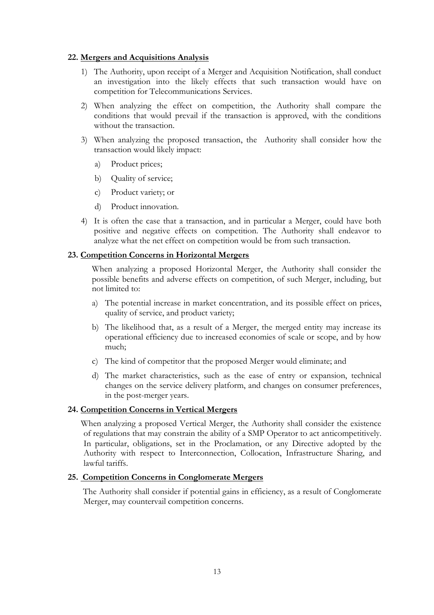## **22. Mergers and Acquisitions Analysis**

- 1) The Authority, upon receipt of a Merger and Acquisition Notification, shall conduct an investigation into the likely effects that such transaction would have on competition for Telecommunications Services.
- 2) When analyzing the effect on competition, the Authority shall compare the conditions that would prevail if the transaction is approved, with the conditions without the transaction.
- 3) When analyzing the proposed transaction, the Authority shall consider how the transaction would likely impact:
	- a) Product prices;
	- b) Quality of service;
	- c) Product variety; or
	- d) Product innovation.
- 4) It is often the case that a transaction, and in particular a Merger, could have both positive and negative effects on competition. The Authority shall endeavor to analyze what the net effect on competition would be from such transaction.

## **23. Competition Concerns in Horizontal Mergers**

When analyzing a proposed Horizontal Merger, the Authority shall consider the possible benefits and adverse effects on competition, of such Merger, including, but not limited to:

- a) The potential increase in market concentration, and its possible effect on prices, quality of service, and product variety;
- b) The likelihood that, as a result of a Merger, the merged entity may increase its operational efficiency due to increased economies of scale or scope, and by how much;
- c) The kind of competitor that the proposed Merger would eliminate; and
- d) The market characteristics, such as the ease of entry or expansion, technical changes on the service delivery platform, and changes on consumer preferences, in the post-merger years.

### **24. Competition Concerns in Vertical Mergers**

When analyzing a proposed Vertical Merger, the Authority shall consider the existence of regulations that may constrain the ability of a SMP Operator to act anticompetitively. In particular, obligations, set in the Proclamation, or any Directive adopted by the Authority with respect to Interconnection, Collocation, Infrastructure Sharing, and lawful tariffs.

#### **25. Competition Concerns in Conglomerate Mergers**

The Authority shall consider if potential gains in efficiency, as a result of Conglomerate Merger, may countervail competition concerns.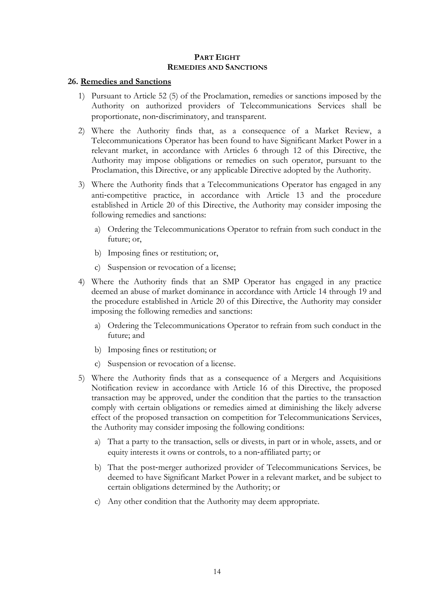## **PART EIGHT REMEDIES AND SANCTIONS**

## **26. Remedies and Sanctions**

- 1) Pursuant to Article 52 (5) of the Proclamation, remedies or sanctions imposed by the Authority on authorized providers of Telecommunications Services shall be proportionate, non‐discriminatory, and transparent.
- 2) Where the Authority finds that, as a consequence of a Market Review, a Telecommunications Operator has been found to have Significant Market Power in a relevant market, in accordance with Articles 6 through 12 of this Directive, the Authority may impose obligations or remedies on such operator, pursuant to the Proclamation, this Directive, or any applicable Directive adopted by the Authority.
- 3) Where the Authority finds that a Telecommunications Operator has engaged in any anti-competitive practice, in accordance with Article 13 and the procedure established in Article 20 of this Directive, the Authority may consider imposing the following remedies and sanctions:
	- a) Ordering the Telecommunications Operator to refrain from such conduct in the future; or,
	- b) Imposing fines or restitution; or,
	- c) Suspension or revocation of a license;
- 4) Where the Authority finds that an SMP Operator has engaged in any practice deemed an abuse of market dominance in accordance with Article 14 through 19 and the procedure established in Article 20 of this Directive, the Authority may consider imposing the following remedies and sanctions:
	- a) Ordering the Telecommunications Operator to refrain from such conduct in the future; and
	- b) Imposing fines or restitution; or
	- c) Suspension or revocation of a license.
- 5) Where the Authority finds that as a consequence of a Mergers and Acquisitions Notification review in accordance with Article 16 of this Directive, the proposed transaction may be approved, under the condition that the parties to the transaction comply with certain obligations or remedies aimed at diminishing the likely adverse effect of the proposed transaction on competition for Telecommunications Services, the Authority may consider imposing the following conditions:
	- a) That a party to the transaction, sells or divests, in part or in whole, assets, and or equity interests it owns or controls, to a non‐affiliated party; or
	- b) That the post‐merger authorized provider of Telecommunications Services, be deemed to have Significant Market Power in a relevant market, and be subject to certain obligations determined by the Authority; or
	- c) Any other condition that the Authority may deem appropriate.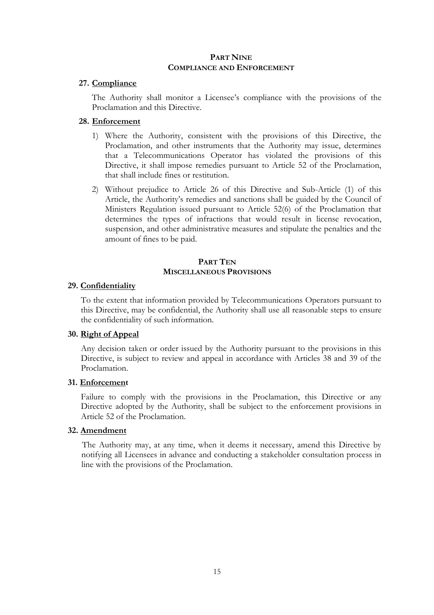## **PART NINE COMPLIANCE AND ENFORCEMENT**

## **27. Compliance**

The Authority shall monitor a Licensee's compliance with the provisions of the Proclamation and this Directive.

## **28. Enforcement**

- 1) Where the Authority, consistent with the provisions of this Directive, the Proclamation, and other instruments that the Authority may issue, determines that a Telecommunications Operator has violated the provisions of this Directive, it shall impose remedies pursuant to Article 52 of the Proclamation, that shall include fines or restitution.
- 2) Without prejudice to Article 26 of this Directive and Sub-Article (1) of this Article, the Authority's remedies and sanctions shall be guided by the Council of Ministers Regulation issued pursuant to Article 52(6) of the Proclamation that determines the types of infractions that would result in license revocation, suspension, and other administrative measures and stipulate the penalties and the amount of fines to be paid.

## **PART TEN MISCELLANEOUS PROVISIONS**

## **29. Confidentiality**

To the extent that information provided by Telecommunications Operators pursuant to this Directive, may be confidential, the Authority shall use all reasonable steps to ensure the confidentiality of such information.

#### **30. Right of Appeal**

Any decision taken or order issued by the Authority pursuant to the provisions in this Directive, is subject to review and appeal in accordance with Articles 38 and 39 of the Proclamation.

## **31. Enforcement**

Failure to comply with the provisions in the Proclamation, this Directive or any Directive adopted by the Authority, shall be subject to the enforcement provisions in Article 52 of the Proclamation.

# **32. Amendment**

The Authority may, at any time, when it deems it necessary, amend this Directive by notifying all Licensees in advance and conducting a stakeholder consultation process in line with the provisions of the Proclamation.